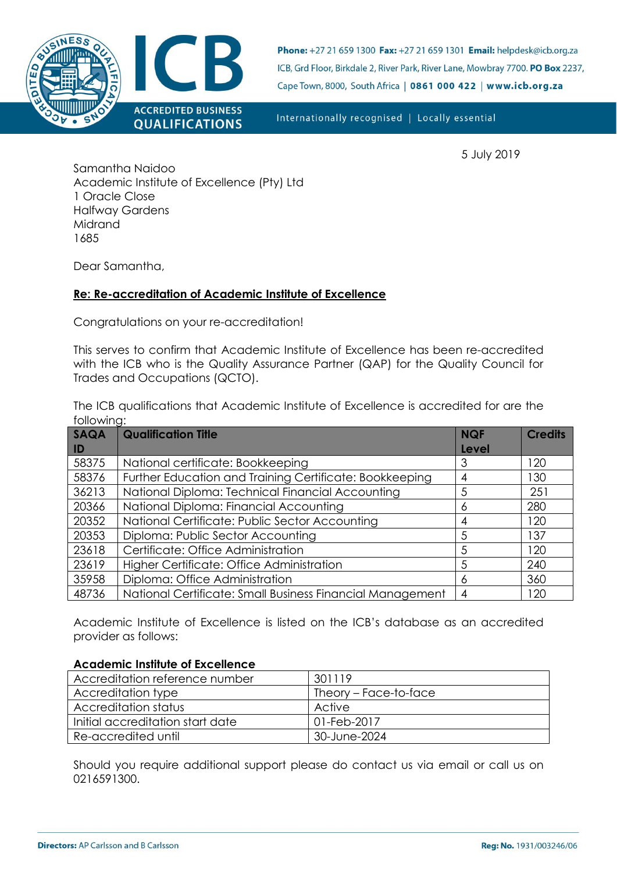

Phone: +27 21 659 1300 Fax: +27 21 659 1301 Email: helpdesk@icb.org.za ICB, Grd Floor, Birkdale 2, River Park, River Lane, Mowbray 7700. PO Box 2237, Cape Town, 8000, South Africa | 0861 000 422 | www.icb.org.za

Internationally recognised | Locally essential

5 July 2019

Samantha Naidoo Academic Institute of Excellence (Pty) Ltd 1 Oracle Close Halfway Gardens Midrand 1685

Dear Samantha,

## **Re: Re-accreditation of Academic Institute of Excellence**

Congratulations on your re-accreditation!

This serves to confirm that Academic Institute of Excellence has been re-accredited with the ICB who is the Quality Assurance Partner (QAP) for the Quality Council for Trades and Occupations (QCTO).

The ICB qualifications that Academic Institute of Excellence is accredited for are the following:

| SAQA           | <b>Qualification Title</b>                                | <b>NQF</b> | <b>Credits</b> |  |
|----------------|-----------------------------------------------------------|------------|----------------|--|
| $\blacksquare$ |                                                           | Level      |                |  |
| 58375          | National certificate: Bookkeeping                         | 3          | 120            |  |
| 58376          | Further Education and Training Certificate: Bookkeeping   | 4          | 130            |  |
| 36213          | National Diploma: Technical Financial Accounting          | 5          | 251            |  |
| 20366          | National Diploma: Financial Accounting                    | 6          | 280            |  |
| 20352          | National Certificate: Public Sector Accounting            | 4          | 120            |  |
| 20353          | Diploma: Public Sector Accounting                         | 5          | 137            |  |
| 23618          | Certificate: Office Administration                        | 5          | 120            |  |
| 23619          | Higher Certificate: Office Administration                 | 5          | 240            |  |
| 35958          | Diploma: Office Administration                            | 6          | 360            |  |
| 48736          | National Certificate: Small Business Financial Management | 4          | 120            |  |

Academic Institute of Excellence is listed on the ICB's database as an accredited provider as follows:

## **Academic Institute of Excellence**

| Accreditation reference number   | 301119                |  |
|----------------------------------|-----------------------|--|
| Accreditation type               | Theory – Face-to-face |  |
| Accreditation status             | Active                |  |
| Initial accreditation start date | 01-Feb-2017           |  |
| Re-accredited until              | 30-June-2024          |  |

Should you require additional support please do contact us via email or call us on 0216591300.